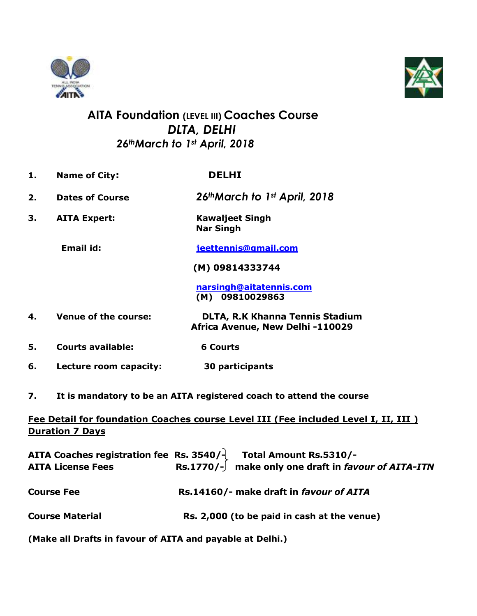



## **AITA Foundation (LEVEL III) Coaches Course**  *DLTA, DELHI 26thMarch to 1st April, 2018*

- **1. Name of City: DELHI 2. Dates of Course** *26thMarch to 1st April, 2018* **3. AITA Expert: Kawaljeet Singh Nar Singh Email id: [jeettennis@gmail.com](mailto:jeettennis@gmail.com) (M) 09814333744 [narsingh@aitatennis.com](mailto:narsingh@aitatennis.com) (M) 09810029863 4. Venue of the course: DLTA, R.K Khanna Tennis Stadium Africa Avenue, New Delhi -110029 5. Courts available: 6 Courts 6. Lecture room capacity: 30 participants**
- **7. It is mandatory to be an AITA registered coach to attend the course**

## **Fee Detail for foundation Coaches course Level III (Fee included Level I, II, III ) Duration 7 Days**

| <b>AITA License Fees</b> | AITA Coaches registration fee Rs. 3540/ $\frac{1}{2}$ Total Amount Rs.5310/-<br>Rs.1770/- $\int$ make only one draft in favour of AITA-ITN |
|--------------------------|--------------------------------------------------------------------------------------------------------------------------------------------|
| <b>Course Fee</b>        | Rs.14160/- make draft in favour of AITA                                                                                                    |
| <b>Course Material</b>   | Rs. 2,000 (to be paid in cash at the venue)                                                                                                |

**(Make all Drafts in favour of AITA and payable at Delhi.)**